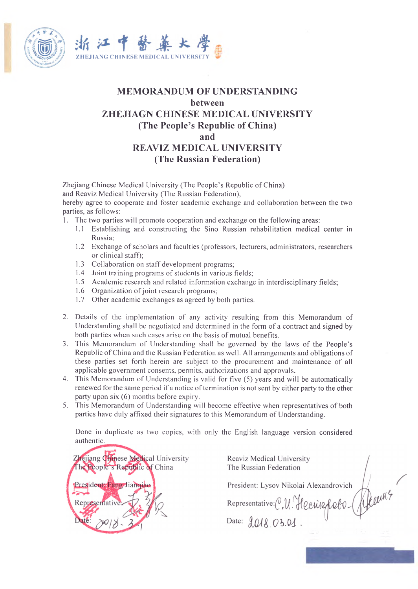



## **MEMORANDUM OF UNDERSTANDING between ZHEJIAGN CHINESE MEDICAL UNIVERSITY (The People's Republic of China) and REAVIZ MEDICAL UNIVERSITY (The Russian Federation)**

Zhejiang Chinese Medical University (The People's Republic of China) and Reaviz Medical University (The Russian Federation),

hereby agree to cooperate and foster academic exchange and collaboration between the two parties, as follows:

- 1. The two parties will promote cooperation and exchange on the following areas:
	- 1.1 Establishing and constructing the Sino Russian rehabilitation medical center in Russia;
	- 1.2 Exchange of scholars and faculties (professors, lecturers, administrators, researchers or clinical staff);
	- 1.3 Collaboration on staff development programs;
	- 1.4 Joint training programs of students in various fields;
	- 1.5 Academic research and related information exchange in interdisciplinary fields;
	- 1.6 Organization of joint research programs;
	- 1.7 Other academic exchanges as agreed by both parties.
- 2. Details of the implementation of any activity resulting from this Memorandum of Understanding shall be negotiated and determined in the form of a contract and signed by both parties when such cases arise on the basis of mutual benefits.
- 3. This Memorandum of Understanding shall be governed by the laws of the People's Republic of China and the Russian Federation as well. All arrangements and obligations of these parties set forth herein are subject to the procurement and maintenance of all applicable government consents, permits, authorizations and approvals.
- 4. This Memorandum of Understanding is valid for five (5) years and will be automatically renewed for the same period if a notice of termination is not sent by either party to the other party upon six (6) months before expiry.
- 5. This Memorandum of Understanding will become effective when representatives of both parties have duly affixed their signatures to this Memorandum of Understanding.

Done in duplicate as two copies, with only the English language version considered authentic.

Zhejiang Chinese Medical University The People's Republic of China President: Fang Jiangiac Representati

Reaviz Medical University The Russian Federation

President: Lysov Nikolai Alexandrovich

Representative: C.U. Hecrisefoto.